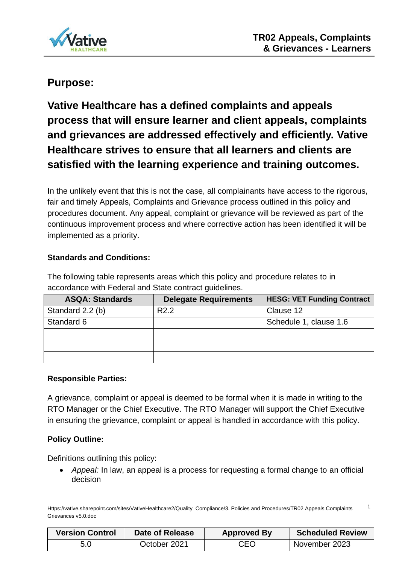

# **Purpose:**

**Vative Healthcare has a defined complaints and appeals process that will ensure learner and client appeals, complaints and grievances are addressed effectively and efficiently. Vative Healthcare strives to ensure that all learners and clients are satisfied with the learning experience and training outcomes.** 

In the unlikely event that this is not the case, all complainants have access to the rigorous, fair and timely Appeals, Complaints and Grievance process outlined in this policy and procedures document. Any appeal, complaint or grievance will be reviewed as part of the continuous improvement process and where corrective action has been identified it will be implemented as a priority.

## **Standards and Conditions:**

The following table represents areas which this policy and procedure relates to in accordance with Federal and State contract guidelines.

| <b>ASQA: Standards</b> | <b>Delegate Requirements</b> | <b>HESG: VET Funding Contract</b> |
|------------------------|------------------------------|-----------------------------------|
| Standard 2.2 (b)       | R <sub>2.2</sub>             | Clause 12                         |
| Standard 6             |                              | Schedule 1, clause 1.6            |
|                        |                              |                                   |
|                        |                              |                                   |
|                        |                              |                                   |

### **Responsible Parties:**

A grievance, complaint or appeal is deemed to be formal when it is made in writing to the RTO Manager or the Chief Executive. The RTO Manager will support the Chief Executive in ensuring the grievance, complaint or appeal is handled in accordance with this policy.

### **Policy Outline:**

Definitions outlining this policy:

• *Appeal:* In law, an appeal is a process for requesting a formal change to an official decision

Https://vative.sharepoint.com/sites/VativeHealthcare2/Quality Compliance/3. Policies and Procedures/TR02 Appeals Complaints Grievances v5.0.doc 1

| <b>Version Control</b> | Date of Release | <b>Approved By</b> | <b>Scheduled Review</b> |
|------------------------|-----------------|--------------------|-------------------------|
| 5.0                    | October 2021    | CEO                | November 2023           |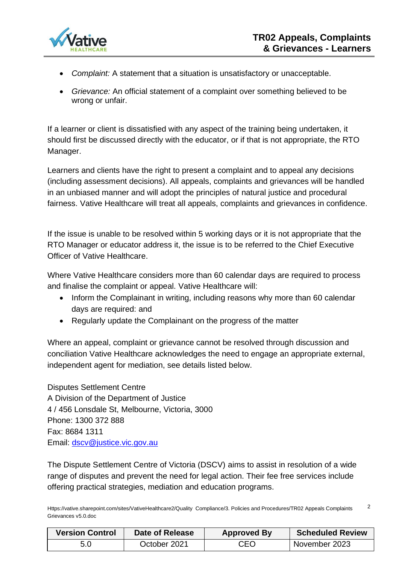

- *Complaint:* A statement that a situation is unsatisfactory or unacceptable.
- *Grievance:* An official statement of a complaint over something believed to be wrong or unfair.

If a learner or client is dissatisfied with any aspect of the training being undertaken, it should first be discussed directly with the educator, or if that is not appropriate, the RTO Manager.

Learners and clients have the right to present a complaint and to appeal any decisions (including assessment decisions). All appeals, complaints and grievances will be handled in an unbiased manner and will adopt the principles of natural justice and procedural fairness. Vative Healthcare will treat all appeals, complaints and grievances in confidence.

If the issue is unable to be resolved within 5 working days or it is not appropriate that the RTO Manager or educator address it, the issue is to be referred to the Chief Executive Officer of Vative Healthcare.

Where Vative Healthcare considers more than 60 calendar days are required to process and finalise the complaint or appeal. Vative Healthcare will:

- Inform the Complainant in writing, including reasons why more than 60 calendar days are required: and
- Regularly update the Complainant on the progress of the matter

Where an appeal, complaint or grievance cannot be resolved through discussion and conciliation Vative Healthcare acknowledges the need to engage an appropriate external, independent agent for mediation, see details listed below.

Disputes Settlement Centre A Division of the Department of Justice 4 / 456 Lonsdale St, Melbourne, Victoria, 3000 Phone: 1300 372 888 Fax: 8684 1311 Email: [dscv@justice.vic.gov.au](mailto:dscv@justice.vic.gov.au)

The Dispute Settlement Centre of Victoria (DSCV) aims to assist in resolution of a wide range of disputes and prevent the need for legal action. Their fee free services include offering practical strategies, mediation and education programs.

Https://vative.sharepoint.com/sites/VativeHealthcare2/Quality Compliance/3. Policies and Procedures/TR02 Appeals Complaints Grievances v5.0.doc  $\mathfrak{p}$ 

| <b>Version Control</b> | Date of Release | <b>Approved By</b> | <b>Scheduled Review</b> |
|------------------------|-----------------|--------------------|-------------------------|
| 5.0                    | October 2021    | CEO                | November 2023           |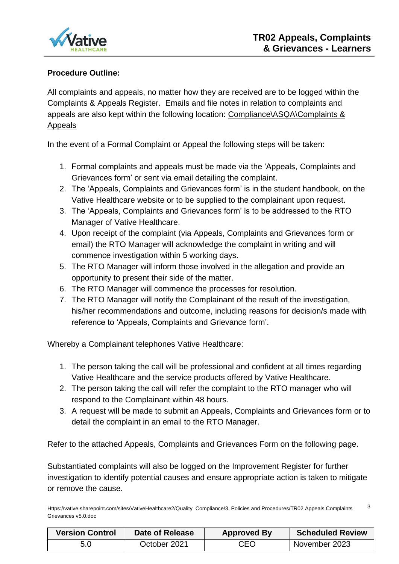

### **Procedure Outline:**

All complaints and appeals, no matter how they are received are to be logged within the Complaints & Appeals Register. Emails and file notes in relation to complaints and appeals are also kept within the following location: Compliance\ASQA\Complaints & Appeals

In the event of a Formal Complaint or Appeal the following steps will be taken:

- 1. Formal complaints and appeals must be made via the 'Appeals, Complaints and Grievances form' or sent via email detailing the complaint.
- 2. The 'Appeals, Complaints and Grievances form' is in the student handbook, on the Vative Healthcare website or to be supplied to the complainant upon request.
- 3. The 'Appeals, Complaints and Grievances form' is to be addressed to the RTO Manager of Vative Healthcare.
- 4. Upon receipt of the complaint (via Appeals, Complaints and Grievances form or email) the RTO Manager will acknowledge the complaint in writing and will commence investigation within 5 working days.
- 5. The RTO Manager will inform those involved in the allegation and provide an opportunity to present their side of the matter.
- 6. The RTO Manager will commence the processes for resolution.
- 7. The RTO Manager will notify the Complainant of the result of the investigation, his/her recommendations and outcome, including reasons for decision/s made with reference to 'Appeals, Complaints and Grievance form'.

Whereby a Complainant telephones Vative Healthcare:

- 1. The person taking the call will be professional and confident at all times regarding Vative Healthcare and the service products offered by Vative Healthcare.
- 2. The person taking the call will refer the complaint to the RTO manager who will respond to the Complainant within 48 hours.
- 3. A request will be made to submit an Appeals, Complaints and Grievances form or to detail the complaint in an email to the RTO Manager.

Refer to the attached Appeals, Complaints and Grievances Form on the following page.

Substantiated complaints will also be logged on the Improvement Register for further investigation to identify potential causes and ensure appropriate action is taken to mitigate or remove the cause.

Https://vative.sharepoint.com/sites/VativeHealthcare2/Quality Compliance/3. Policies and Procedures/TR02 Appeals Complaints Grievances v5.0.doc 3

| <b>Version Control</b> | Date of Release | <b>Approved By</b> | <b>Scheduled Review</b> |
|------------------------|-----------------|--------------------|-------------------------|
| 5.0                    | October 2021    | CEO                | November 2023           |